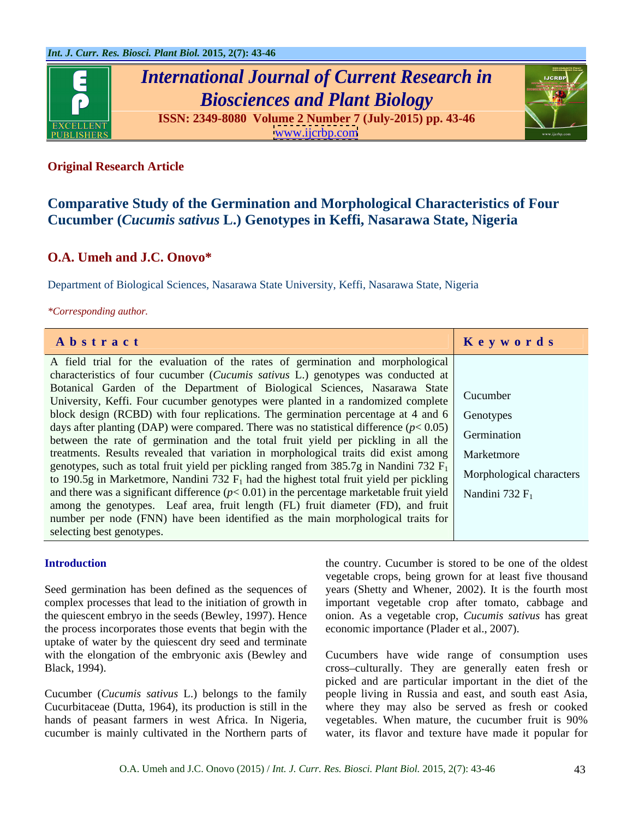

# *International Journal of Current Research in Biosciences and Plant Biology*

**ISSN: 2349-8080 Volume 2 Number 7 (July-2015) pp. 43-46** [www.ijcrbp.com](http://www.ijcrbp.com)



## **Original Research Article**

# **Comparative Study of the Germination and Morphological Characteristics of Four Cucumber (***Cucumis sativus* **L.) Genotypes in Keffi, Nasarawa State, Nigeria**

# **O.A. Umeh and J.C. Onovo\***

Department of Biological Sciences, Nasarawa State University, Keffi, Nasarawa State, Nigeria

*\*Corresponding author.*

| Abstract                                                                                                                                                                               | Keywords                 |
|----------------------------------------------------------------------------------------------------------------------------------------------------------------------------------------|--------------------------|
| A field trial for the evaluation of the rates of germination and morphological                                                                                                         |                          |
| characteristics of four cucumber (Cucumis sativus L.) genotypes was conducted at                                                                                                       |                          |
| Botanical Garden of the Department of Biological Sciences, Nasarawa State                                                                                                              |                          |
| University, Keffi. Four cucumber genotypes were planted in a randomized complete Cucumber                                                                                              |                          |
| block design (RCBD) with four replications. The germination percentage at 4 and $6 \mid$ Genotypes                                                                                     |                          |
| days after planting (DAP) were compared. There was no statistical difference $(p< 0.05)$                                                                                               | Germination              |
| between the rate of germination and the total fruit yield per pickling in all the                                                                                                      |                          |
| treatments. Results revealed that variation in morphological traits did exist among Marketmore                                                                                         |                          |
| genotypes, such as total fruit yield per pickling ranged from 385.7g in Nandini 732 $F_1$<br>to 190.5g in Marketmore, Nandini 732 $F_1$ had the highest total fruit yield per pickling | Morphological characters |
| and there was a significant difference ( $p < 0.01$ ) in the percentage marketable fruit yield Nandini 732 F <sub>1</sub>                                                              |                          |
| among the genotypes. Leaf area, fruit length (FL) fruit diameter (FD), and fruit                                                                                                       |                          |
| number per node (FNN) have been identified as the main morphological traits for                                                                                                        |                          |
| selecting best genotypes.                                                                                                                                                              |                          |

the process incorporates those events that begin with the uptake of water by the quiescent dry seed and terminate

**Introduction** the country. Cucumber is stored to be one of the oldest Seed germination has been defined as the sequences of years (Shetty and Whener, 2002). It is the fourth most complex processes that lead to the initiation of growth in important vegetable crop after tomato, cabbage and the quiescent embryo in the seeds (Bewley, 1997). Hence onion. As a vegetable crop, *Cucumis sativus* has great vegetable crops, being grown for at least five thousand economic importance (Plader et al., 2007).

with the elongation of the embryonic axis (Bewley and Cucumbers have wide range of consumption uses Black, 1994). Cross-culturally. They are generally eaten fresh or Cucumber (*Cucumis sativus* L.) belongs to the family people living in Russia and east, and south east Asia, Cucurbitaceae (Dutta, 1964), its production is still in the where they may also be served as fresh or cooked hands of peasant farmers in west Africa. In Nigeria, vegetables. When mature, the cucumber fruit is 90% cucumber is mainly cultivated in the Northern parts of water, its flavor and texture have made it popular for picked and are particular important in the diet of the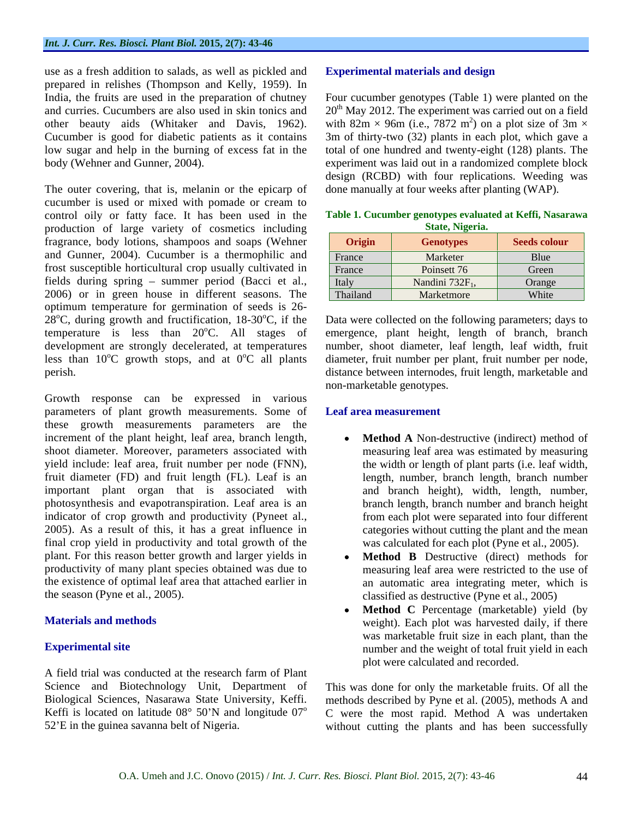use as a fresh addition to salads, as well as pickled and **Experimental materials and design** prepared in relishes (Thompson and Kelly, 1959). In India, the fruits are used in the preparation of chutney Four cucumber genotypes (Table 1) were planted on the and curries. Cucumbers are also used in skin tonics and 20<sup>th</sup> May 2012. The experiment was carried out on a field other beauty aids (Whitaker and Davis, 1962). with  $82m \times 96m$  (i.e., 7872 m<sup>2</sup>) on a plot size of 3m  $\times$ Cucumber is good for diabetic patients as it contains 3m of thirty-two (32) plants in each plot, which gave a low sugar and help in the burning of excess fat in the

The outer covering, that is, melanin or the epicarp of cucumber is used or mixed with pomade or cream to control oily or fatty face. It has been used in the **Table 1. Cucumber genotypes evaluated at Keffi, Nasarawa**  production of large variety of cosmetics including fragrance, body lotions, shampoos and soaps (Wehner and Gunner, 2004). Cucumber is a thermophilic and frost susceptible horticultural crop usually cultivated in fields during spring - summer period (Bacci et al., 2006) or in green house in different seasons. The optimum temperature for germination of seeds is 26-  $28^{\circ}$ C, during growth and fructification, 18-30 $^{\circ}$ C, if the temperature is less than  $20^{\circ}$ C. All stages of

Growth response can be expressed in various parameters of plant growth measurements. Some of these growth measurements parameters are the increment of the plant height, leaf area, branch length, shoot diameter. Moreover, parameters associated with yield include: leaf area, fruit number per node (FNN), the width or length of plant parts (i.e. leaf width, fruit diameter (FD) and fruit length (FL). Leaf is an length, number, branch length, branch number important plant organ that is associated with photosynthesis and evapotranspiration. Leaf area is an indicator of crop growth and productivity (Pyneet al., 2005). As a result of this, it has a great influence in final crop yield in productivity and total growth of the plant. For this reason better growth and larger yields in productivity of many plant species obtained was due to the existence of optimal leaf area that attached earlier in The an I redshifted noted by the specified and Experimental materials and the general materials and the guinea sava-<br>Experimental sites are the guinear or the guinear same of Nigeria. The redshifted in the specified and t

A field trial was conducted at the research farm of Plant Science and Biotechnology Unit, Department of Biological Sciences, Nasarawa State University, Keffi.

body (Wehner and Gunner, 2004). experiment was laid out in a randomized complete block ) on a plot size of  $3m \times$ total of one hundred and twenty-eight (128) plants. The design (RCBD) with four replications. Weeding was done manually at four weeks after planting (WAP).

|          | State, Nigeria.             |              |
|----------|-----------------------------|--------------|
| Origin   | <b>Genotypes</b>            | Seeds colour |
| France   | Marketer                    | Blue         |
| France   | Poinsett 76                 | Green        |
| Italy    | Nandini 732F <sub>1</sub> , | Orange       |
| Thailand | Marketmore                  | White        |

**State, Nigeria.**

oC. All stages of emergence, plant height, length of branch, branch development are strongly decelerated, at temperatures number, shoot diameter, leaf length, leaf width, fruit less than 10<sup>o</sup>C growth stops, and at 0<sup>o</sup>C all plants diameter, fruit number per plant, fruit number per node, perish. distance between internodes, fruit length, marketable and Data were collected on the following parameters; days to non-marketable genotypes.

### **Leaf area measurement**

- **Method A** Non-destructive (indirect) method of measuring leaf area was estimated by measuring the width or length of plant parts (i.e. leaf width, length, number, branch length, branch number and branch height), width, length, number, branch length, branch number and branch height from each plot were separated into four different categories without cutting the plant and the mean was calculated for each plot (Pyne et al., 2005).
- the season (Pyne et al., 2005). classified as destructive (Pyne et al., 2005) **Method B** Destructive (direct) methods for measuring leaf area were restricted to the use of an automatic area integrating meter, which is
- **Materials and methods** weight). Each plot was harvested daily, if there **Experimental site** number and the weight of total fruit yield in each **Method C** Percentage (marketable) yield (by was marketable fruit size in each plant, than the plot were calculated and recorded.

Biological Sciences, Nasarawa State University, Keffi. methods described by Pyne et al. (2005), methods A and Keffi is located on latitude  $08^{\circ}$  50'N and longitude  $07^{\circ}$  C were the most rapid. Method A was undertaken This was done for only the marketable fruits. Of all the without cutting the plants and has been successfully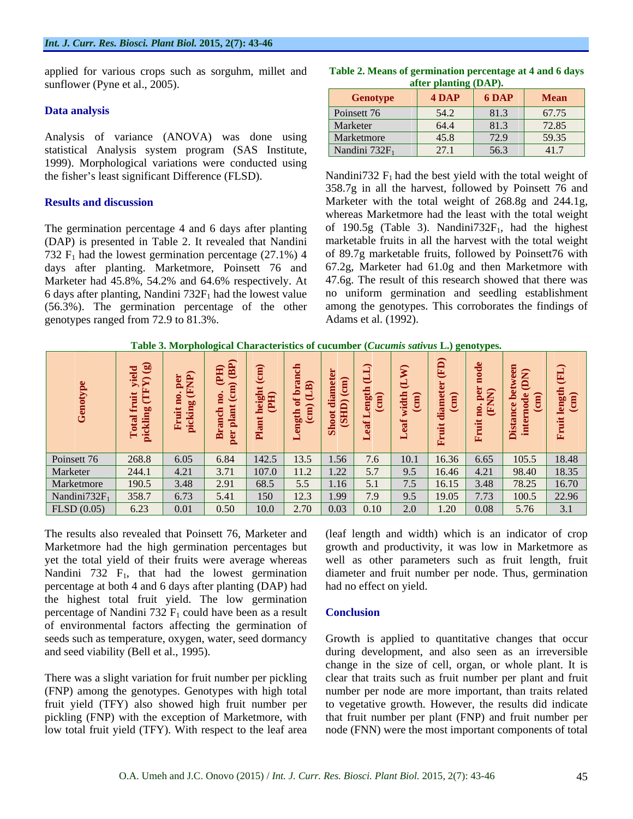applied for various crops such as sorguhm, millet and sunflower (Pyne et al., 2005).

Analysis of variance (ANOVA) was done using statistical Analysis system program (SAS Institute, 1999). Morphological variations were conducted using

The germination percentage 4 and 6 days after planting (DAP) is presented in Table 2. It revealed that Nandini days after planting. Marketmore, Poinsett 76 and Marketer had 45.8%, 54.2% and 64.6% respectively. At 6 days after planting, Nandini  $732F_1$  had the lowest value (56.3%). The germination percentage of the other genotypes ranged from 72.9 to 81.3%.

| <b>CONTRACTOR</b><br>Fable<br>Means<br>' 6 days<br>t germination percentage at 4<br>l and<br>ОT |  |  |
|-------------------------------------------------------------------------------------------------|--|--|
| (DAP)<br>$\bm{\mathit{r}}$ planting<br>atter                                                    |  |  |

the fisher's least significant Difference (FLSD). Nandini732  $F_1$  had the best yield with the total weight of **Results and discussion** Marketer with the total weight of 268.8g and 244.1g, 732  $F_1$  had the lowest germination percentage (27.1%) 4 of 89.7g marketable fruits, followed by Poinsett76 with Marketer had 45.8%, 54.2% and 64.6% respectively. At 47.6g. The result of this research showed that there was  $358.7g$  in all the harvest, followed by Poinsett 76 and whereas Marketmore had the least with the total weight of 190.5g (Table 3). Nandini $732F_1$ , had the highest marketable fruits in all the harvest with the total weight 67.2g, Marketer had 61.0g and then Marketmore with no uniform germination and seedling establishment among the genotypes. This corroborates the findings of Adams et al. (1992).

**Table 3. Morphological Characteristics of cucumber (***Cucumis sativus* **L.) genotypes.**

|            |  |  | 268.8 6.05 6.84 142.5 13.5 1.56 7.6 10.1 16.36 6.65 105.5 18.48                        |  |  |  |
|------------|--|--|----------------------------------------------------------------------------------------|--|--|--|
|            |  |  | 244.1   4.21   3.71   107.0   11.2   1.22   5.7   9.5   16.46   4.21   98.40   18.35   |  |  |  |
| Marketmore |  |  | $190.5$   3.48   2.91   68.5   5.5   1.16   5.1   7.5   16.15   3.48   78.25   16.70   |  |  |  |
|            |  |  |                                                                                        |  |  |  |
|            |  |  | Nandini 732F <sub>1</sub> 358.7 6.73 5.41 150 12.3 1.99 7.9 9.5 19.05 7.73 100.5 22.96 |  |  |  |

Nandini 732  $F_1$ , that had the lowest germination percentage at both 4 and 6 days after planting (DAP) had the highest total fruit yield. The low germination percentage of Nandini 732  $F_1$  could have been as a result **Conclusion** of environmental factors affecting the germination of

(FNP) among the genotypes. Genotypes with high total

The results also revealed that Poinsett 76, Marketer and (leaf length and width) which is an indicator of crop Marketmore had the high germination percentages but growth and productivity, it was low in Marketmore as yet the total yield of their fruits were average whereas well as other parameters such as fruit length, fruit diameter and fruit number per node. Thus, germination had no effect on yield.

### **Conclusion**

seeds such as temperature, oxygen, water, seed dormancy Growth is applied to quantitative changes that occur and seed viability (Bell et al., 1995). during development, and also seen as an irreversible There was a slight variation for fruit number per pickling clear that traits such as fruit number per plant and fruit fruit yield (TFY) also showed high fruit number per to vegetative growth. However, the results did indicate pickling (FNP) with the exception of Marketmore, with that fruit number per plant (FNP) and fruit number per low total fruit yield (TFY). With respect to the leaf area node (FNN) were the most important components of total change in the size of cell, organ, or whole plant. It is number per node are more important, than traits related